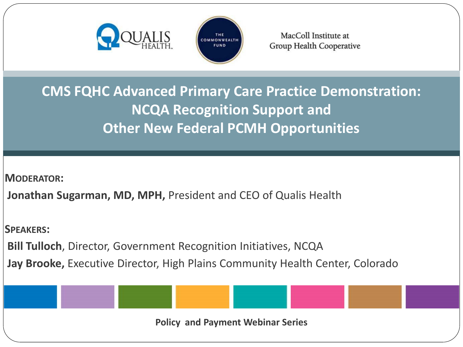



MacColl Institute at Group Health Cooperative

**CMS FQHC Advanced Primary Care Practice Demonstration: NCQA Recognition Support and Other New Federal PCMH Opportunities**

**MODERATOR:**

**Jonathan Sugarman, MD, MPH,** President and CEO of Qualis Health

**SPEAKERS:**

**Bill Tulloch**, Director, Government Recognition Initiatives, NCQA

**Jay Brooke,** Executive Director, High Plains Community Health Center, Colorado

**Policy and Payment Webinar Series**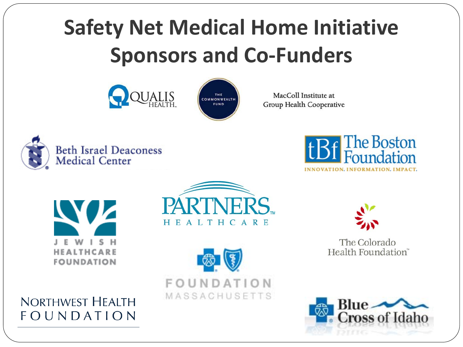#### **Safety Net Medical Home Initiative Sponsors and Co-Funders**





MacColl Institute at Group Health Cooperative







**NORTHWEST HEALTH** FOUNDATION







The Colorado Health Foundation<sup>®</sup>

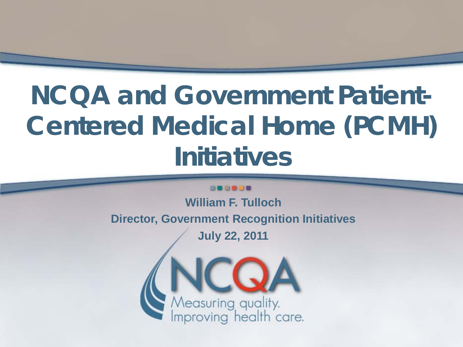# **NCQA and Government Patient-Centered Medical Home (PCMH) Initiatives**

#### **DO BOOD**

**William F. Tulloch Director, Government Recognition Initiatives**

**July 22, 2011**

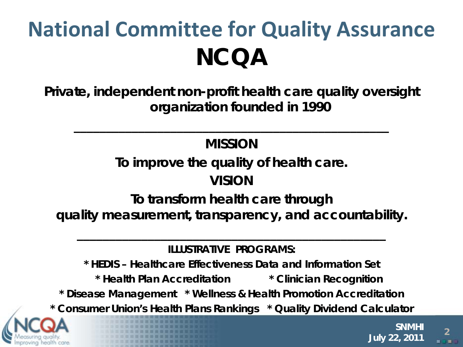### **National Committee for Quality Assurance NCQA**

**Private, independent non-profit health care quality oversight organization founded in 1990**

#### *MISSION*

*\_\_\_\_\_\_\_\_\_\_\_\_\_\_\_\_\_\_\_\_\_\_\_\_\_\_\_\_\_\_\_\_\_\_\_\_\_\_\_\_\_\_\_\_\_\_\_\_\_*

*To improve the quality of health care.*

#### *VISION*

*To transform health care through quality measurement, transparency, and accountability.*

**ILLUSTRATIVE PROGRAMS:**

*\_\_\_\_\_\_\_\_\_\_\_\_\_\_\_\_\_\_\_\_\_\_\_\_\_\_\_\_\_\_\_\_\_\_\_\_\_\_\_\_\_\_\_\_\_\_\_\_*

**\* HEDIS – Healthcare Effectiveness Data and Information Set**

**\* Health Plan Accreditation \* Clinician Recognition**

**\* Disease Management \* Wellness & Health Promotion Accreditation**

**\* Consumer Union's Health Plans Rankings \* Quality Dividend Calculator**

**<sup>2</sup> SNMHI July 22, 2011**

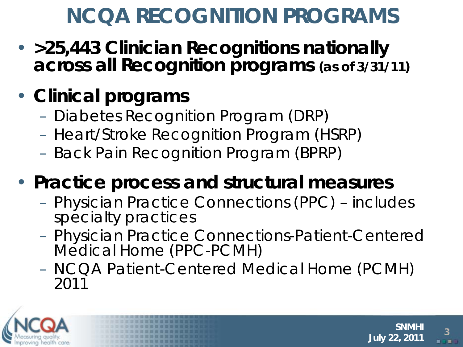#### **NCQA RECOGNITION PROGRAMS**

• **>25,443 Clinician Recognitions nationally across all Recognition programs (as of 3/31/11)**

#### • **Clinical programs**

- Diabetes Recognition Program (DRP)
- Heart/Stroke Recognition Program (HSRP)
- Back Pain Recognition Program (BPRP)

#### • **Practice process and structural measures**

- Physician Practice Connections (PPC) includes specialty practices
- Physician Practice Connections-Patient-Centered Medical Home (PPC-PCMH)
- NCQA Patient-Centered Medical Home (PCMH) 2011



**<sup>3</sup> SNMHI July 22, 2011**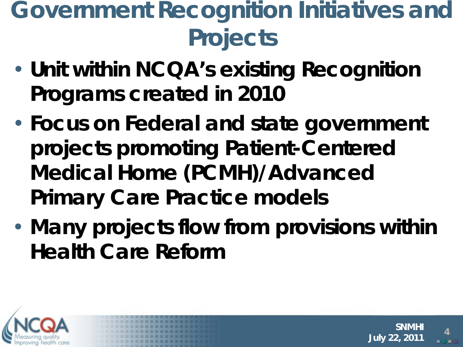#### **Government Recognition Initiatives and Projects**

- **Unit within NCQA's existing Recognition Programs created in 2010**
- **Focus on Federal and state government projects promoting Patient-Centered Medical Home (PCMH)/Advanced Primary Care Practice models**
- **Many projects flow from provisions within Health Care Reform**

**<sup>4</sup> SNMHI**

**July 22, 2011**

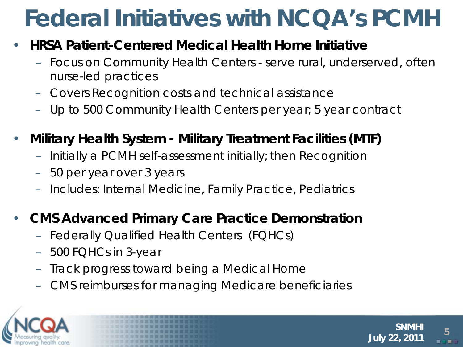## **Federal Initiatives with NCQA's PCMH**

#### • **HRSA Patient-Centered Medical Health Home Initiative**

- Focus on Community Health Centers serve rural, underserved, often nurse-led practices
- Covers Recognition costs and technical assistance
- Up to 500 Community Health Centers per year; 5 year contract
- **Military Health System - Military Treatment Facilities (MTF)**
	- Initially a PCMH self-assessment initially; then Recognition
	- 50 per year over 3 years
	- Includes: Internal Medicine, Family Practice, Pediatrics

#### • **CMS Advanced Primary Care Practice Demonstration**

- Federally Qualified Health Centers (FQHCs)
- 500 FQHCs in 3-year
- Track progress toward being a Medical Home
- CMS reimburses for managing Medicare beneficiaries



**<sup>5</sup> SNMHI July 22, 2011**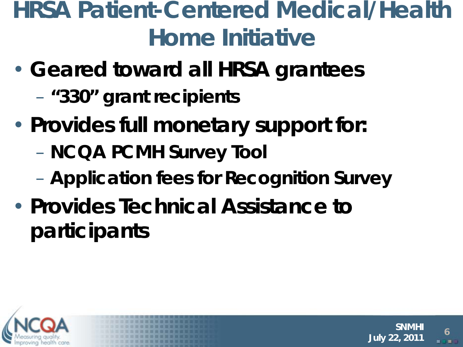#### **HRSA Patient-Centered Medical/Health Home Initiative**

- **Geared toward all HRSA grantees**
	- **"330" grant recipients**
- **Provides full monetary support for:**
	- **NCQA PCMH Survey Tool**
	- **Application fees for Recognition Survey**

**<sup>6</sup> SNMHI**

**July 22, 2011**

• **Provides Technical Assistance to participants**

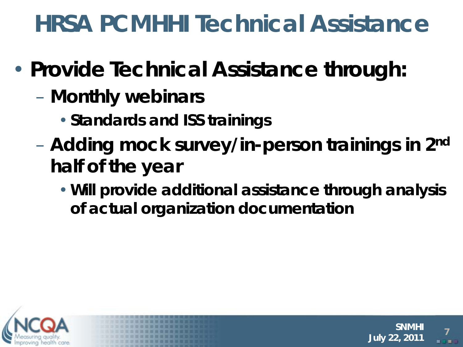#### **HRSA PCMHHI Technical Assistance**

- **Provide Technical Assistance through:**
	- **Monthly webinars**
		- •**Standards and ISS trainings**
	- **Adding mock survey/in-person trainings in 2nd half of the year**
		- •**Will provide additional assistance through analysis of actual organization documentation**

**<sup>7</sup> SNMHI**

**July 22, 2011**

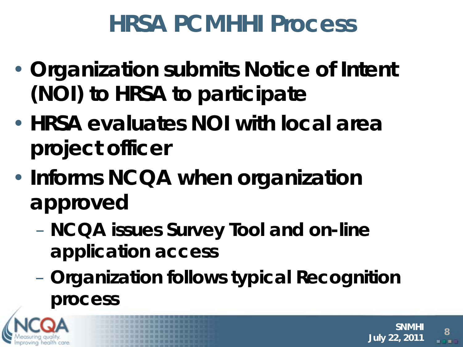#### **HRSA PCMHHI Process**

- **Organization submits Notice of Intent (NOI) to HRSA to participate**
- **HRSA evaluates NOI with local area project officer**
- **Informs NCQA when organization approved** 
	- **NCQA issues Survey Tool and on-line application access**
	- **Organization follows typical Recognition process**

**<sup>8</sup> SNMHI**

**July 22, 2011**

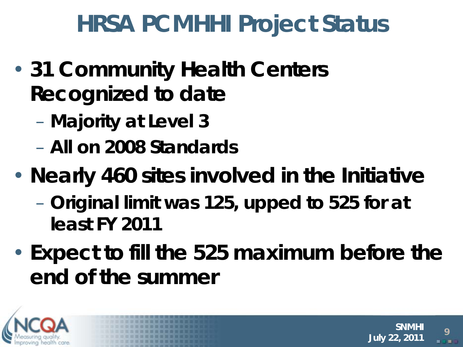#### **HRSA PCMHHI Project Status**

- **31 Community Health Centers Recognized to date**
	- **Majority at Level 3**
	- **All on 2008 Standards**
- **Nearly 460 sites involved in the Initiative**
	- **Original limit was 125, upped to 525 for at least FY 2011**
- **Expect to fill the 525 maximum before the end of the summer**

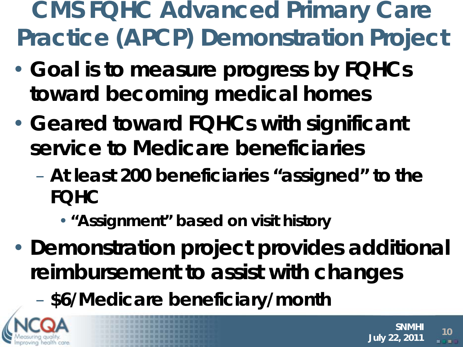**CMS FQHC Advanced Primary Care Practice (APCP) Demonstration Project**

- **Goal is to measure progress by FQHCs toward becoming medical homes**
- **Geared toward FQHCs with significant service to Medicare beneficiaries**
	- **At least 200 beneficiaries "assigned" to the FQHC**
		- •**"Assignment" based on visit history**
- **Demonstration project provides additional reimbursement to assist with changes**

**<sup>10</sup> SNMHI**

**July 22, 2011**

– **\$6/Medicare beneficiary/month**

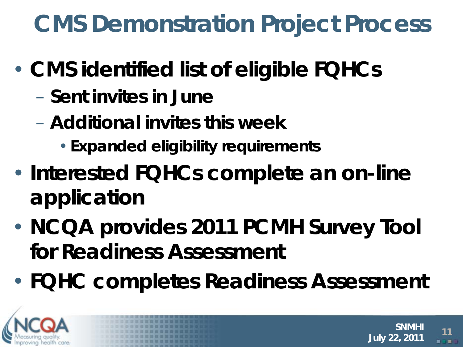#### **CMS Demonstration Project Process**

- **CMS identified list of eligible FQHCs**
	- **Sent invites in June**
	- **Additional invites this week**
		- •**Expanded eligibility requirements**
- **Interested FQHCs complete an on-line application**
- **NCQA provides 2011 PCMH Survey Tool for Readiness Assessment**
- **FQHC completes Readiness Assessment**



**<sup>11</sup> SNMHI July 22, 2011**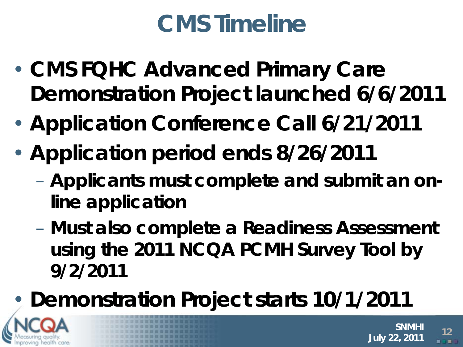### **CMS Timeline**

- **CMS FQHC Advanced Primary Care Demonstration Project launched 6/6/2011**
- **Application Conference Call 6/21/2011**
- **Application period ends 8/26/2011**
	- **Applicants must complete and submit an online application**
	- **Must also complete a Readiness Assessment using the 2011 NCQA PCMH Survey Tool by 9/2/2011**

**<sup>12</sup> SNMHI**

**July 22, 2011**

• **Demonstration Project starts 10/1/2011**

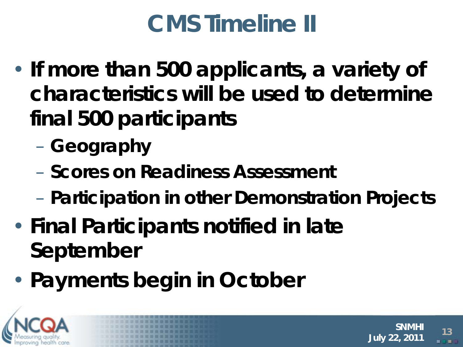## **CMS Timeline II**

- **If more than 500 applicants, a variety of characteristics will be used to determine final 500 participants**
	- **Geography**
	- **Scores on Readiness Assessment**
	- **Participation in other Demonstration Projects**
- **Final Participants notified in late September**
- **Payments begin in October**



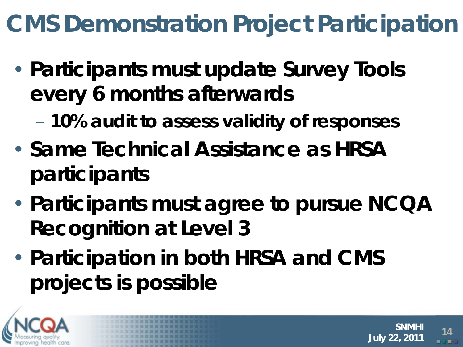### **CMS Demonstration Project Participation**

- **Participants must update Survey Tools every 6 months afterwards**
	- **10% audit to assess validity of responses**
- **Same Technical Assistance as HRSA participants**
- **Participants must agree to pursue NCQA Recognition at Level 3**

**<sup>14</sup> SNMHI**

**July 22, 2011**

• **Participation in both HRSA and CMS projects is possible**

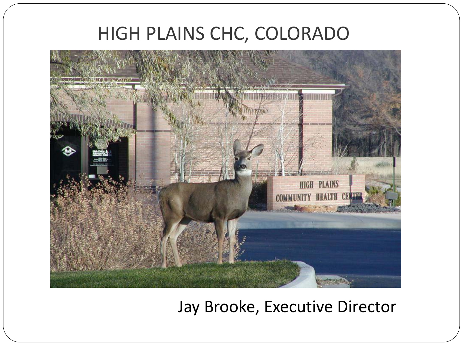#### HIGH PLAINS CHC, COLORADO



Jay Brooke, Executive Director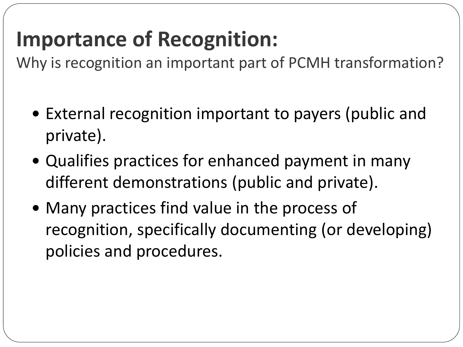#### **Importance of Recognition:**

Why is recognition an important part of PCMH transformation?

- External recognition important to payers (public and private).
- Qualifies practices for enhanced payment in many different demonstrations (public and private).
- Many practices find value in the process of recognition, specifically documenting (or developing) policies and procedures.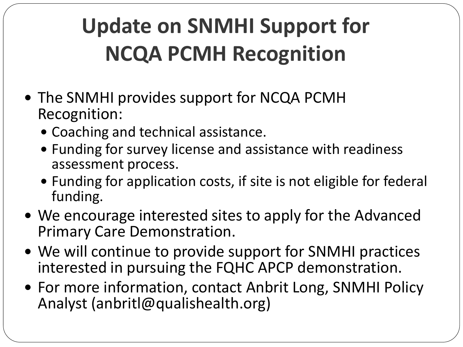## **Update on SNMHI Support for NCQA PCMH Recognition**

- The SNMHI provides support for NCQA PCMH Recognition:
	- Coaching and technical assistance.
	- Funding for survey license and assistance with readiness assessment process.
	- Funding for application costs, if site is not eligible for federal funding.
- We encourage interested sites to apply for the Advanced Primary Care Demonstration.
- We will continue to provide support for SNMHI practices interested in pursuing the FQHC APCP demonstration.
- For more information, contact Anbrit Long, SNMHI Policy Analyst (anbritl@qualishealth.org)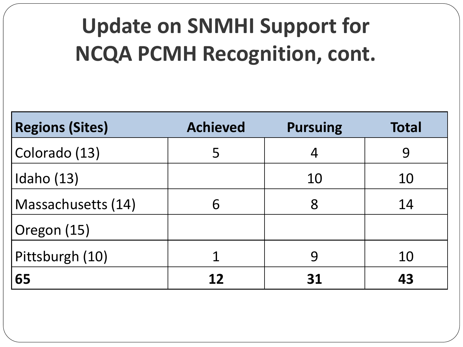### **Update on SNMHI Support for NCQA PCMH Recognition, cont.**

| <b>Regions (Sites)</b> | <b>Achieved</b> | <b>Pursuing</b> | <b>Total</b> |
|------------------------|-----------------|-----------------|--------------|
| Colorado (13)          | 5               |                 | 9            |
| Idaho $(13)$           |                 | 10              | 10           |
| Massachusetts (14)     | 6               | 8               | 14           |
| Oregon (15)            |                 |                 |              |
| Pittsburgh (10)        |                 | 9               | 10           |
| 65                     | 12              | 31              | 43           |